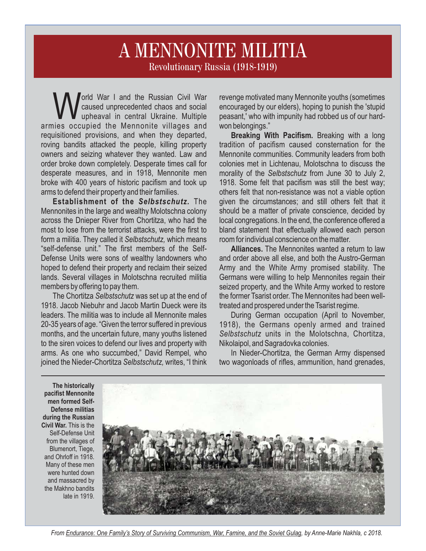## Revolutionary Russia (1918-1919) A MENNONITE MILITIA

orld War I and the Russian Civil War<br>caused unprecedented chaos and social upheaval in central Ukraine. Multiple armies occupied the Mennonite villages and requisitioned provisions, and when they departed, roving bandits attacked the people, killing property owners and seizing whatever they wanted. Law and order broke down completely. Desperate times call for desperate measures, and in 1918, Mennonite men broke with 400 years of historic pacifism and took up arms to defend their property and their families.

**Establishment of the** *Selbstschutz.* The Mennonites in the large and wealthy Molotschna colony across the Dnieper River from Chortitza, who had the most to lose from the terrorist attacks, were the first to form a militia. They called it *Selbstschutz,* which means "self-defense unit." The first members of the Self-Defense Units were sons of wealthy landowners who hoped to defend their property and reclaim their seized lands. Several villages in Molotschna recruited militia members by offering to pay them.

The Chortitza *Selbstschutz* was set up at the end of 1918. Jacob Niebuhr and Jacob Martin Dueck were its leaders. The militia was to include all Mennonite males 20-35 years of age. "Given the terror suffered in previous months, and the uncertain future, many youths listened to the siren voices to defend our lives and property with arms. As one who succumbed," David Rempel, who joined the Nieder-Chortitza *Selbstschutz,* writes, "I think

revenge motivated many Mennonite youths (sometimes encouraged by our elders), hoping to punish the 'stupid peasant,' who with impunity had robbed us of our hardwon belongings."

**Breaking With Pacifism.** Breaking with a long tradition of pacifism caused consternation for the Mennonite communities. Community leaders from both colonies met in Lichtenau, Molotschna to discuss the morality of the *Selbstschutz* from June 30 to July 2, 1918. Some felt that pacifism was still the best way; others felt that non-resistance was not a viable option given the circumstances; and still others felt that it should be a matter of private conscience, decided by local congregations. In the end, the conference offered a bland statement that effectually allowed each person room for individual conscience on the matter.

**Alliances.** The Mennonites wanted a return to law and order above all else, and both the Austro-German Army and the White Army promised stability. The Germans were willing to help Mennonites regain their seized property, and the White Army worked to restore the former Tsarist order. The Mennonites had been welltreated and prospered under the Tsarist regime.

During German occupation (April to November, 1918), the Germans openly armed and trained *Selbstschutz* units in the Molotschna, Chortitza, Nikolaipol, and Sagradovka colonies.

In Nieder-Chortitza, the German Army dispensed two wagonloads of rifles, ammunition, hand grenades,

**The historically pacifist Mennonite men formed Self-Defense militias during the Russian Civil War.** This is the Self-Defense Unit from the villages of Blumenort, Tiege, and Ohrloff in 1918. Many of these men were hunted down and massacred by the Makhno bandits late in 1919.